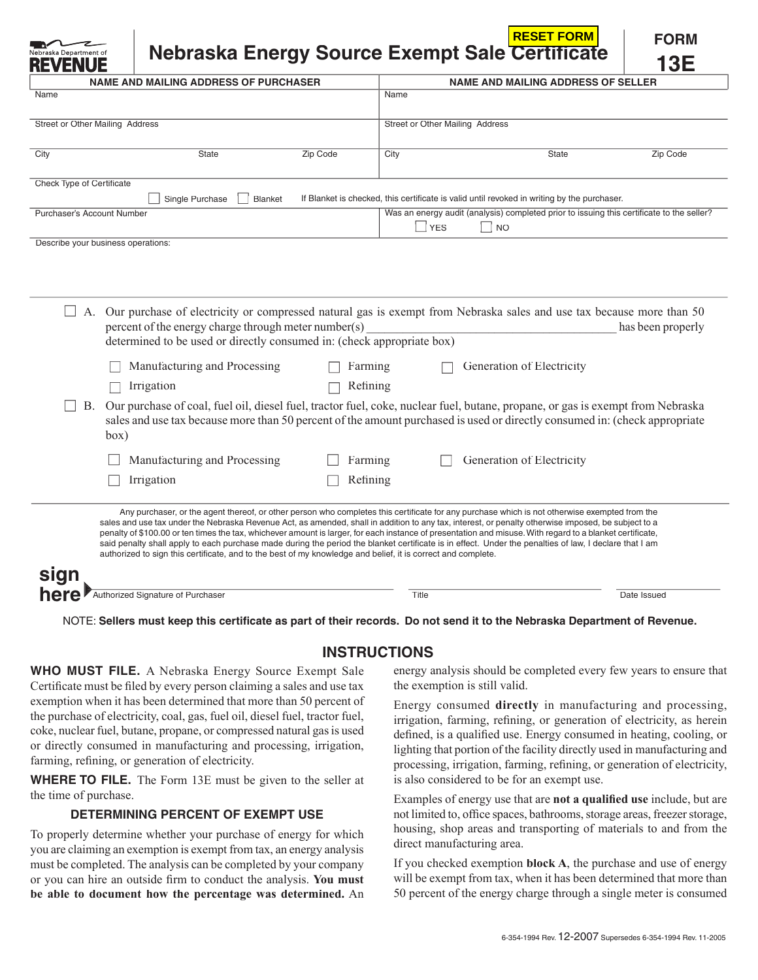| lebraska Department of<br>REVEI    |                                                                                                                                |          |                                 | <b>RESET FORM</b><br>Nebraska Energy Source Exempt Sale Certificate                                                  | <b>FORM</b><br>13E |
|------------------------------------|--------------------------------------------------------------------------------------------------------------------------------|----------|---------------------------------|----------------------------------------------------------------------------------------------------------------------|--------------------|
|                                    | <b>NAME AND MAILING ADDRESS OF PURCHASER</b>                                                                                   |          |                                 | <b>NAME AND MAILING ADDRESS OF SELLER</b>                                                                            |                    |
| Name                               |                                                                                                                                |          | Name                            |                                                                                                                      |                    |
| Street or Other Mailing Address    |                                                                                                                                |          | Street or Other Mailing Address |                                                                                                                      |                    |
| City                               | State                                                                                                                          | Zip Code | City                            | State                                                                                                                | Zip Code           |
| Check Type of Certificate          |                                                                                                                                |          |                                 |                                                                                                                      |                    |
|                                    | Single Purchase<br><b>Blanket</b>                                                                                              |          |                                 | If Blanket is checked, this certificate is valid until revoked in writing by the purchaser.                          |                    |
| Purchaser's Account Number         |                                                                                                                                |          | <b>YES</b><br>$\Box$            | Was an energy audit (analysis) completed prior to issuing this certificate to the seller?<br><b>NO</b>               |                    |
| Describe your business operations: |                                                                                                                                |          |                                 |                                                                                                                      |                    |
| A.                                 | percent of the energy charge through meter number(s)<br>determined to be used or directly consumed in: (check appropriate box) |          |                                 | Our purchase of electricity or compressed natural gas is exempt from Nebraska sales and use tax because more than 50 | has been properly  |
|                                    | Manufacturing and Processing                                                                                                   |          | Farming                         | Generation of Electricity                                                                                            |                    |

 B. Our purchase of coal, fuel oil, diesel fuel, tractor fuel, coke, nuclear fuel, butane, propane, or gas is exempt from Nebraska sales and use tax because more than 50 percent of the amount purchased is used or directly consumed in: (check appropriate box)

| Manufacturing and Processing<br>Irrigation | Farming<br>Refining | Generation of Electricity                                                                                                                     |
|--------------------------------------------|---------------------|-----------------------------------------------------------------------------------------------------------------------------------------------|
|                                            |                     | Any purchaser, or the agent thereof, or other person who completes this certificate for any purchase which is not otherwise exempted from the |

sales and use tax under the Nebraska Revenue Act, as amended, shall in addition to any tax, interest, or penalty otherwise imposed, be subject to a penalty of \$100.00 or ten times the tax, whichever amount is larger, for each instance of presentation and misuse. With regard to a blanket certificate, said penalty shall apply to each purchase made during the period the blanket certificate is in effect. Under the penalties of law, I declare that I am authorized to sign this certificate, and to the best of my knowledge and belief, it is correct and complete.

| sign              |                                   |       |             |
|-------------------|-----------------------------------|-------|-------------|
| here <sup>®</sup> | Authorized Signature of Purchaser | Title | Date Issued |

NOTE: Sellers must keep this certificate as part of their records. Do not send it to the Nebraska Department of Revenue.

## **INSTRUCTIONS**

**WHO MUST FILE.** A Nebraska Energy Source Exempt Sale Certificate must be filed by every person claiming a sales and use tax exemption when it has been determined that more than 50 percent of the purchase of electricity, coal, gas, fuel oil, diesel fuel, tractor fuel, coke, nuclear fuel, butane, propane, or compressed natural gas is used or directly consumed in manufacturing and processing, irrigation, farming, refining, or generation of electricity.

 $\Box$  Irrigation  $\Box$  Refining

**WHERE TO FILE.** The Form 13E must be given to the seller at the time of purchase.

## **DETERMINING PERCENT OF EXEMPT USE**

To properly determine whether your purchase of energy for which you are claiming an exemption is exempt from tax, an energy analysis must be completed. The analysis can be completed by your company or you can hire an outside firm to conduct the analysis. You must **be able to document how the percentage was determined.** An

energy analysis should be completed every few years to ensure that the exemption is still valid.

Energy consumed **directly** in manufacturing and processing, irrigation, farming, refining, or generation of electricity, as herein defined, is a qualified use. Energy consumed in heating, cooling, or lighting that portion of the facility directly used in manufacturing and processing, irrigation, farming, refining, or generation of electricity, is also considered to be for an exempt use.

Examples of energy use that are **not a qualified use** include, but are not limited to, office spaces, bathrooms, storage areas, freezer storage, housing, shop areas and transporting of materials to and from the direct manufacturing area.

If you checked exemption **block A**, the purchase and use of energy will be exempt from tax, when it has been determined that more than 50 percent of the energy charge through a single meter is consumed